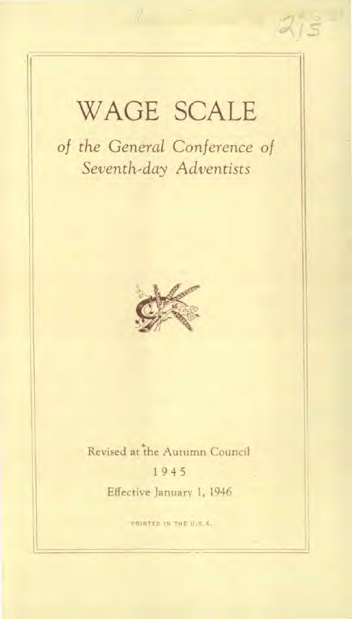## WAGE SCALE

*of the General Conference of Seventh-day Adventists* 



### Revised at the Autumn Council 1 9 4 5 Effective January 1, 1946

PRINTED IN THE U.S.A.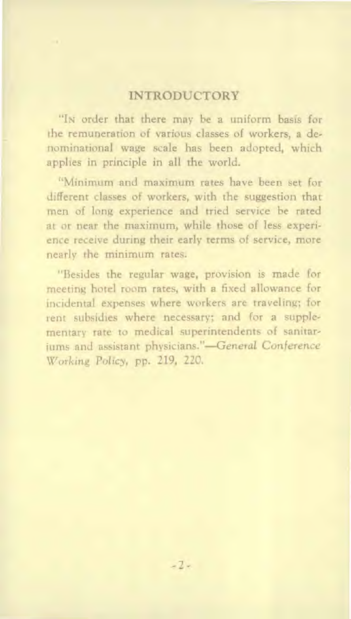#### INTRODUCTORY

"IN order that there may be a uniform basis for the remuneration of various classes of workers, a denominational wage scale has been adopted, which applies in principle in all the world.

"Minimum and maximum rates have been set for different classes of workers, with the suggestion that men of long experience and tried service be rated at or near the maximum, while those of less experience receive during their early terms of service, more nearly the minimum rates.

"Besides the regular wage, provision is made for meeting hotel room rates, with a fixed allowance for incidental expenses where workers are traveling; for rent subsidies where necessary; and for a supplementary rate to medical superintendents of sanitariums and assistant physicians."—General *Conference*  Working *Policy,* pp. 219, 220.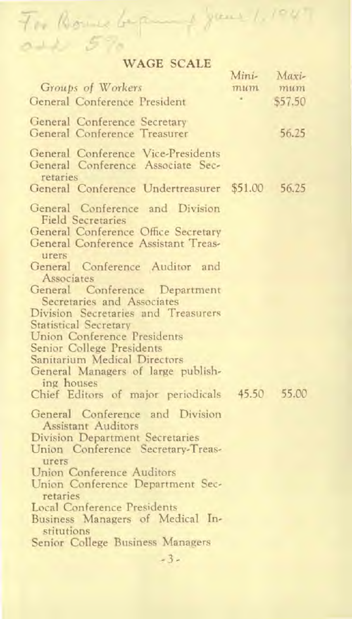# For Rome beganning your 1.1047

|                                                                                     | Mini- | Maxi-   |
|-------------------------------------------------------------------------------------|-------|---------|
| Groups of Workers                                                                   | mu m  | mum     |
| General Conference President                                                        |       | \$57.50 |
| General Conference Secretary                                                        |       |         |
| General Conference Treasurer                                                        |       | 56.25   |
| General Conference Vice-Presidents<br>General Conference Associate Sec-<br>retaries |       |         |
| General Conference Undertreasurer \$51.00 56.25                                     |       |         |
| General Conference and Division<br><b>Field Secretaries</b>                         |       |         |
| General Conference Office Secretary<br>General Conference Assistant Treas-<br>urers |       |         |
| General Conference Auditor and<br>Associates                                        |       |         |
| General Conference Department<br>Secretaries and Associates                         |       |         |
| Division Secretaries and Treasurers                                                 |       |         |
| <b>Statistical Secretary</b>                                                        |       |         |
| Union Conference Presidents<br>Senior College Presidents                            |       |         |
| Sanitarium Medical Directors                                                        |       |         |
| General Managers of large publish-                                                  |       |         |
| ing houses                                                                          |       |         |
| Chief Editors of major periodicals 45.50 55.00                                      |       |         |
| General Conference and Division<br><b>Assistant Auditors</b>                        |       |         |
| Division Department Secretaries                                                     |       |         |
| Union Conference Secretary-Treas-<br>urers                                          |       |         |
| Union Conference Auditors                                                           |       |         |
| Union Conference Department Sec-<br>retaries                                        |       |         |
| <b>Local Conference Presidents</b>                                                  |       |         |
| Business Managers of Medical In-<br>stitutions                                      |       |         |
| Senior College Business Managers                                                    |       |         |

- 3 -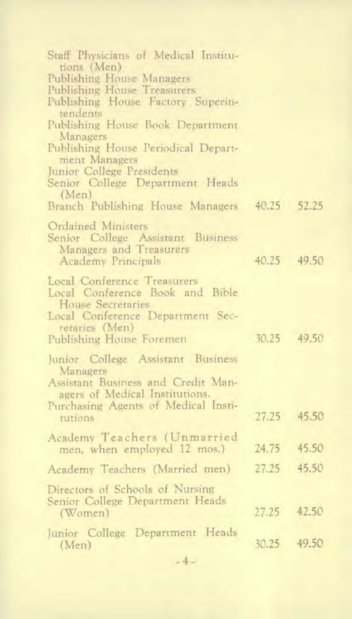| Staff Physicians of Medical Institu-<br>tions (Men)<br>Publishing House Managers<br>Publishing House Treasurers<br>Publishing House Factory Superin-<br>tendents<br>Publishing House Book Department |       |             |
|------------------------------------------------------------------------------------------------------------------------------------------------------------------------------------------------------|-------|-------------|
| Managers<br>Publishing House Periodical Depart-<br>ment Managers<br>Junior College Presidents<br>Senior College Department Heads                                                                     |       |             |
| (Men)<br>Branch Publishing House Managers 40.25 52.25                                                                                                                                                |       |             |
| Ordained Ministers<br>Senior College Assistant Business<br>Managers and Treasurers<br><b>Academy Principals</b>                                                                                      |       | 40.25 49.50 |
| Local Conference Treasurers<br>Local Conference Book and Bible<br>House Secretaries<br>Local Conference Department Sec-<br>retaries (Men)<br>Publishing House Foremen                                | 30.25 | 49.50       |
| Junior College Assistant Business<br>Managers<br>Assistant Business and Credit Man-<br>agers of Medical Institutions.<br>Purchasing Agents of Medical Insti-<br>rutions                              | 27.25 | 45.50       |
| Academy Teachers (Unmarried<br>men, when employed 12 mos.)                                                                                                                                           | 24.75 | 45.50       |
| Academy Teachers (Married men)                                                                                                                                                                       | 27.25 | 45.50       |
| Directors of Schools of Nursing<br>Senior College Department Heads<br>(Women)                                                                                                                        | 27.25 | 42.50       |
| Junior College Department Heads<br>(Men)                                                                                                                                                             |       | 30.25 49.50 |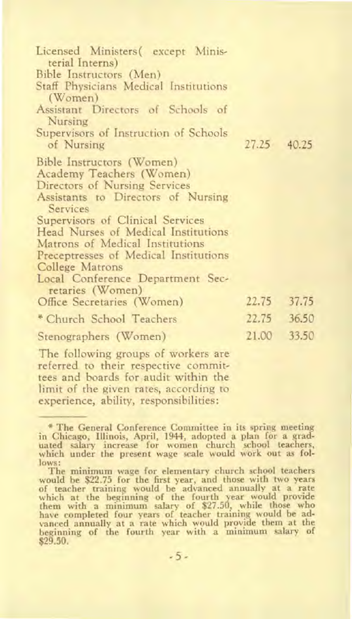| Licensed Ministers (except Minis-<br>terial Interns)<br>Bible Instructors (Men)<br>Staff Physicians Medical Institutions<br>$(\mathrm{Women})$<br>Assistant Directors of Schools of<br>Nursing<br>Supervisors of Instruction of Schools<br>of Nursing<br>Bible Instructors (Women)<br>Academy Teachers (Women)<br>Directors of Nursing Services<br>Assistants to Directors of Nursing<br>Services<br>Supervisors of Clinical Services<br>Head Nurses of Medical Institutions<br>Matrons of Medical Institutions<br>Preceptresses of Medical Institutions<br>College Matrons<br>Local Conference Department Sec- | 27.25 | 40.25 |
|-----------------------------------------------------------------------------------------------------------------------------------------------------------------------------------------------------------------------------------------------------------------------------------------------------------------------------------------------------------------------------------------------------------------------------------------------------------------------------------------------------------------------------------------------------------------------------------------------------------------|-------|-------|
| retaries (Women)<br>Office Secretaries (Women)                                                                                                                                                                                                                                                                                                                                                                                                                                                                                                                                                                  | 22.75 | 37.75 |
| * Church School Teachers                                                                                                                                                                                                                                                                                                                                                                                                                                                                                                                                                                                        | 22.75 | 36.50 |
| Stenographers (Women)                                                                                                                                                                                                                                                                                                                                                                                                                                                                                                                                                                                           | 21.00 | 33.50 |
| The full-water was completed of speakers was                                                                                                                                                                                                                                                                                                                                                                                                                                                                                                                                                                    |       |       |

The following groups of workers are referred to their respective committees and boards for audit within the limit of the given rates, according to experience, ability, responsibilities:

<sup>\*</sup> The General Conference Committee in its spring meeting in Chicago, Illinois, April, 1944, adopted a plan for a grad-uated salary increase for women church school teachers, which under the present wage scale would work out as follows:

The minimum wage for elementary church school teachers would be \$22.75 for the first year, and those with two years of teacher training would be advanced annually at a rate which at the beginning of the fourth year would provide<br>them with a minimum salary of \$27.50, while those who<br>have completed four years of teacher training would be ad-<br>vanced annually at a rate which would provide them at \$29.50.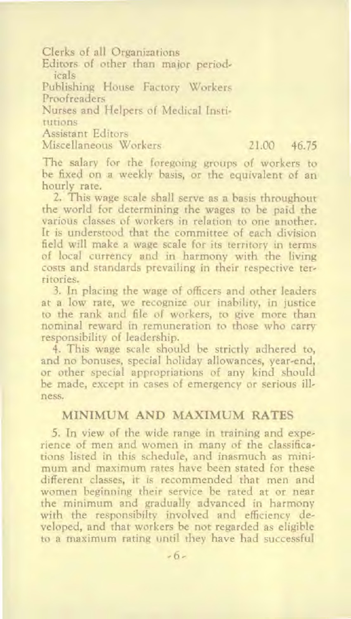Clerks of all Organizations

Editors of other than major periodicals

Publishing House Factory Workers Proofreaders

Nurses and Helpers of Medical Institutions

Assistant Editors

Miscellaneous Workers 21.00 46.75

The salary for the foregoing groups of workers to be fixed on a weekly basis, or the equivalent of an hourly rate.

2. This wage scale shall serve as a basis throughout the world for determining the wages to be paid the various classes of workers in relation to one another. It is understood that the committee of each division field will make a wage scale for its territory in terms of local currency and in harmony with the living costs and standards prevailing in their respective territories.

3. In placing the wage of officers and other leaders at a low rate, we recognize our inability, in justice to the rank and file of workers, to give more than nominal reward in remuneration to those who carry responsibility of leadership.

4. This wage scale should be strictly adhered to, and no bonuses, special holiday allowances, year-end, or other special appropriations of any kind should be made, except in cases of emergency or serious illness.

#### MINIMUM AND MAXIMUM RATES

5. In view of the wide range in training and experience of men and women in many of the classifications listed in this schedule, and inasmuch as minimum and maximum rates have been stated for these different classes, it is recommended that men and women beginning their service be rated at or near the minimum and gradually advanced in harmony with the responsibilty involved and efficiency developed, and that workers be not regarded as eligible to a maximum rating until they have had successful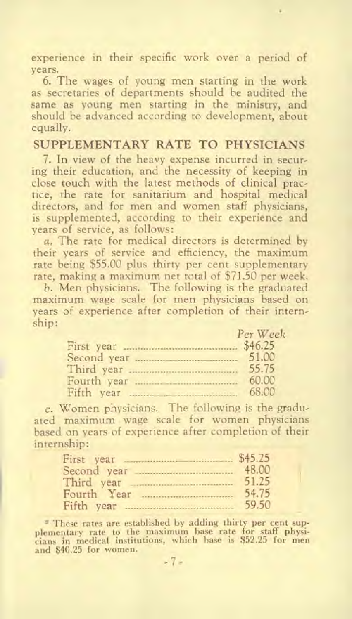experience in their specific work over a period of years.

6. The wages of young men starting in the work as secretaries of departments should be audited the same as young men starting in the ministry, and should be advanced according to development, about equally.

#### SUPPLEMENTARY RATE TO PHYSICIANS

7. In view of the heavy expense incurred in securing their education, and the necessity of keeping in close touch with the latest methods of clinical practice, the rate for sanitarium and hospital medical directors, and for men and women staff physicians, is supplemented, according to their experience and years of service, as follows:

a. The rate for medical directors is determined by their years of service and efficiency, the maximum rate being \$55.00 plus thirty per cent supplementary rate, making a maximum net total of \$71.50 per week.

b. Men physicians. The following is the graduated maximum wage scale for men physicians based on years of experience after completion of their internship:

| Per Week |
|----------|
|          |
| 51.00    |
| 55.75    |
| 60.00    |
| 68.00    |

c. Women physicians. The following is the graduated maximum wage scale for women physicians based on years of experience after completion of their internship:

| First year 545.25 |       |
|-------------------|-------|
|                   | 48.00 |
|                   | 51.25 |
| Fourth Year       | 54.75 |
| Fifth year        | 59.50 |

\* These rates are established by adding thirty per cent supplementary rate to the maximum base rate for staff physi-cians in medical institutions, which base is \$52.25 for men and \$40.25 for women.